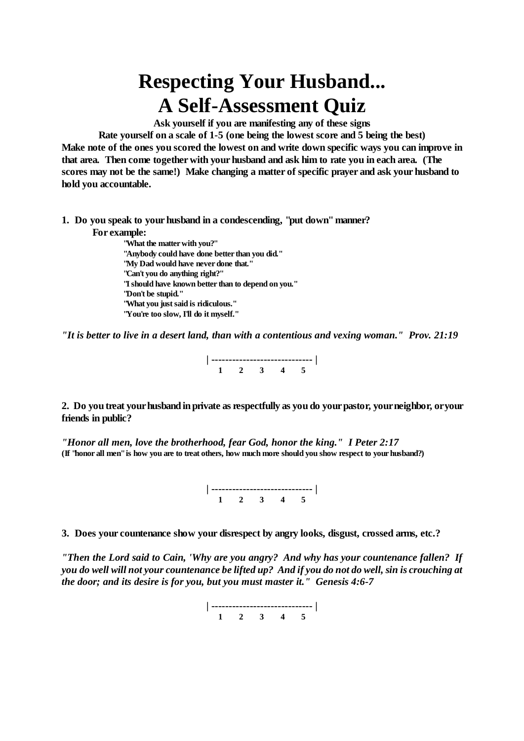## **Respecting Your Husband... A Self-Assessment Quiz**

**Ask yourself if you are manifesting any of these signs**

**Rate yourself on a scale of 1-5 (one being the lowest score and 5 being the best)** Make note of the ones you scored the lowest on and write down specific ways you can improve in **that area. Then come together with your husband and ask him to rate you in each area. (The scores may not be the same!) Make changing a matter of specific prayer and ask your husband to hold you accountable.**

**1. Do you speak to your husband in a condescending, "put down" manner? For example:**

**"What the matter with you?" "Anybody could have done better than you did." "My Dad would have never done that." "Can't you do anything right?" "I should have known better than to depend on you." "Don't be stupid." "What you just said is ridiculous." "You're too slow, I'll do it myself."**

*"It is better to live in a desert land, than with a contentious and vexing woman." Prov. 21:19*



2. Do you treat your husband in private as respectfully as you do your pastor, your neighbor, or your **friends in public?**

*"Honor all men, love the brotherhood, fear God, honor the king." I Peter 2:17* (If "honor all men" is how you are to treat others, how much more should you show respect to your husband?)

> **| ----------------------------- | 1 2 3 4 5**

**3. Does your countenance show your disrespect by angry looks, disgust, crossed arms, etc.?**

*"Then the Lord said to Cain, 'Why are you angry? And why has your countenance fallen? If* you do well will not your countenance be lifted up? And if you do not do well, sin is crouching at *the door; and its desire is for you, but you must master it." Genesis 4:6-7*

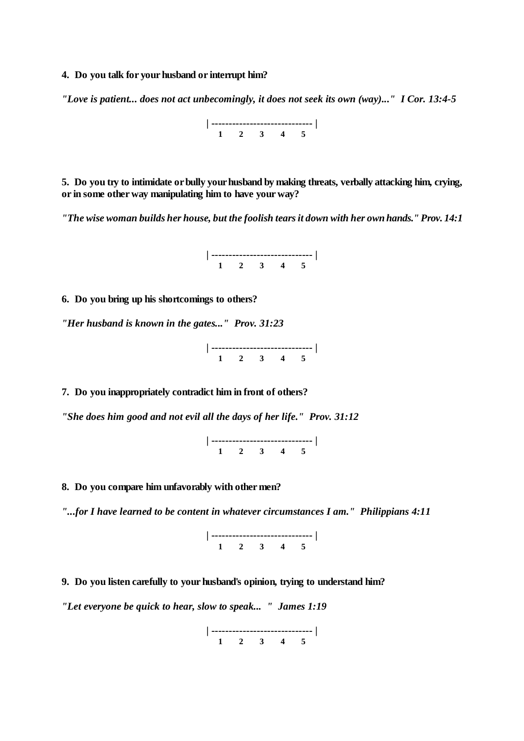**4. Do you talk for your husband or interrupt him?**

*"Love is patient... does not act unbecomingly, it does not seek its own (way)..." I Cor. 13:4-5*



**5. Do you try to intimidate or bully your husband by making threats, verbally attacking him, crying, or in some other way manipulating him to have your way?**

*"The wise woman builds her house, but the foolish tearsit down with her own hands." Prov. 14:1*



**6. Do you bring up his shortcomings to others?**

*"Her husband is known in the gates..." Prov. 31:23*

**| ----------------------------- | 1 2 3 4 5**

**7. Do you inappropriately contradict him in front of others?**

*"She does him good and not evil all the days of her life." Prov. 31:12*

**| ----------------------------- | 1 2 3 4 5**

**8. Do you compare him unfavorably with other men?**

*"...for I have learned to be content in whatever circumstances I am." Philippians 4:11*



**9. Do you listen carefully to your husband's opinion, trying to understand him?**

*"Let everyone be quick to hear, slow to speak... " James 1:19*